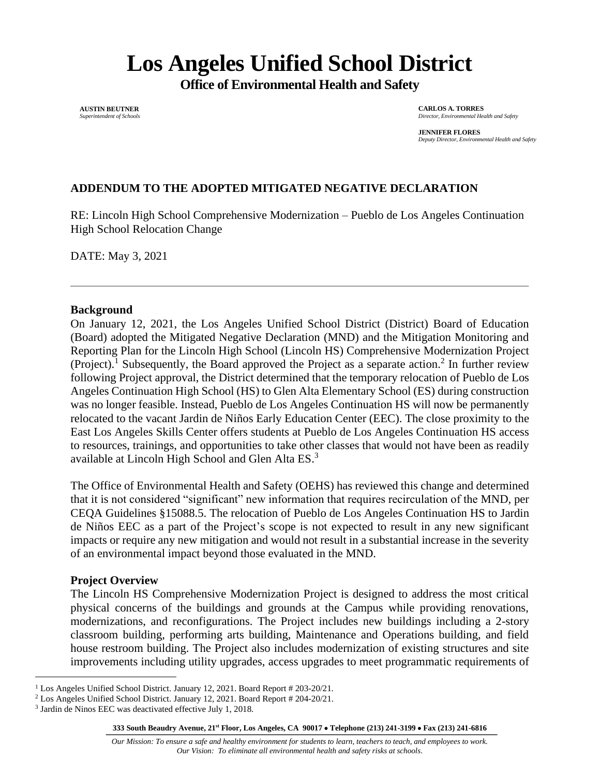# **Los Angeles Unified School District**

**Office of Environmental Health and Safety**

**AUSTIN BEUTNER** *Superintendent of Schools*

**CARLOS A. TORRES** *Director, Environmental Health and Safety*

**JENNIFER FLORES** *Deputy Director, Environmental Health and Safety*

# **ADDENDUM TO THE ADOPTED MITIGATED NEGATIVE DECLARATION**

RE: Lincoln High School Comprehensive Modernization – Pueblo de Los Angeles Continuation High School Relocation Change

DATE: May 3, 2021

#### **Background**

On January 12, 2021, the Los Angeles Unified School District (District) Board of Education (Board) adopted the Mitigated Negative Declaration (MND) and the Mitigation Monitoring and Reporting Plan for the Lincoln High School (Lincoln HS) Comprehensive Modernization Project (Project).<sup>1</sup> Subsequently, the Board approved the Project as a separate action.<sup>2</sup> In further review following Project approval, the District determined that the temporary relocation of Pueblo de Los Angeles Continuation High School (HS) to Glen Alta Elementary School (ES) during construction was no longer feasible. Instead, Pueblo de Los Angeles Continuation HS will now be permanently relocated to the vacant Jardin de Niños Early Education Center (EEC). The close proximity to the East Los Angeles Skills Center offers students at Pueblo de Los Angeles Continuation HS access to resources, trainings, and opportunities to take other classes that would not have been as readily available at Lincoln High School and Glen Alta ES. 3

The Office of Environmental Health and Safety (OEHS) has reviewed this change and determined that it is not considered "significant" new information that requires recirculation of the MND, per CEQA Guidelines §15088.5. The relocation of Pueblo de Los Angeles Continuation HS to Jardin de Niños EEC as a part of the Project's scope is not expected to result in any new significant impacts or require any new mitigation and would not result in a substantial increase in the severity of an environmental impact beyond those evaluated in the MND.

#### **Project Overview**

The Lincoln HS Comprehensive Modernization Project is designed to address the most critical physical concerns of the buildings and grounds at the Campus while providing renovations, modernizations, and reconfigurations. The Project includes new buildings including a 2-story classroom building, performing arts building, Maintenance and Operations building, and field house restroom building. The Project also includes modernization of existing structures and site improvements including utility upgrades, access upgrades to meet programmatic requirements of

<sup>1</sup> Los Angeles Unified School District. January 12, 2021. Board Report # 203-20/21.

<sup>2</sup> Los Angeles Unified School District. January 12, 2021. Board Report # 204-20/21.

<sup>&</sup>lt;sup>3</sup> Jardin de Ninos EEC was deactivated effective July 1, 2018.

**<sup>333</sup> South Beaudry Avenue, 21 st Floor, Los Angeles, CA 90017** • **Telephone (213) 241-3199** • **Fax (213) 241-6816**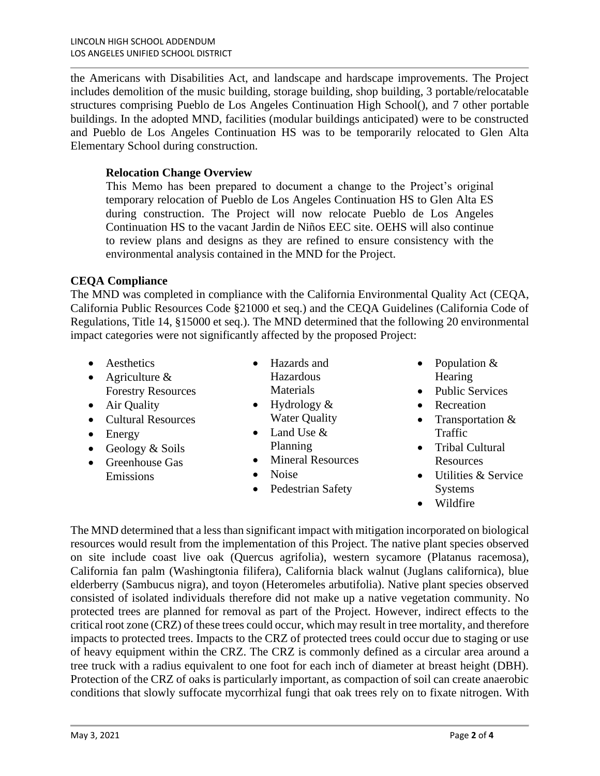the Americans with Disabilities Act, and landscape and hardscape improvements. The Project includes demolition of the music building, storage building, shop building, 3 portable/relocatable structures comprising Pueblo de Los Angeles Continuation High School(), and 7 other portable buildings. In the adopted MND, facilities (modular buildings anticipated) were to be constructed and Pueblo de Los Angeles Continuation HS was to be temporarily relocated to Glen Alta Elementary School during construction.

### **Relocation Change Overview**

This Memo has been prepared to document a change to the Project's original temporary relocation of Pueblo de Los Angeles Continuation HS to Glen Alta ES during construction. The Project will now relocate Pueblo de Los Angeles Continuation HS to the vacant Jardin de Niños EEC site. OEHS will also continue to review plans and designs as they are refined to ensure consistency with the environmental analysis contained in the MND for the Project.

#### **CEQA Compliance**

The MND was completed in compliance with the California Environmental Quality Act (CEQA, California Public Resources Code §21000 et seq.) and the CEQA Guidelines (California Code of Regulations, Title 14, §15000 et seq.). The MND determined that the following 20 environmental impact categories were not significantly affected by the proposed Project:

- Aesthetics
- Agriculture & Forestry Resources
- Air Quality
- Cultural Resources
- Energy
- Geology & Soils
- Greenhouse Gas Emissions
- Hazards and Hazardous **Materials**
- Hydrology & Water Quality
- Land Use & Planning
- Mineral Resources
- Noise
- Pedestrian Safety
- Population & **Hearing**
- Public Services
- Recreation
- Transportation & Traffic
- Tribal Cultural Resources
- Utilities & Service Systems
- Wildfire

The MND determined that a less than significant impact with mitigation incorporated on biological resources would result from the implementation of this Project. The native plant species observed on site include coast live oak (Quercus agrifolia), western sycamore (Platanus racemosa), California fan palm (Washingtonia filifera), California black walnut (Juglans californica), blue elderberry (Sambucus nigra), and toyon (Heteromeles arbutifolia). Native plant species observed consisted of isolated individuals therefore did not make up a native vegetation community. No protected trees are planned for removal as part of the Project. However, indirect effects to the critical root zone (CRZ) of these trees could occur, which may result in tree mortality, and therefore impacts to protected trees. Impacts to the CRZ of protected trees could occur due to staging or use of heavy equipment within the CRZ. The CRZ is commonly defined as a circular area around a tree truck with a radius equivalent to one foot for each inch of diameter at breast height (DBH). Protection of the CRZ of oaks is particularly important, as compaction of soil can create anaerobic conditions that slowly suffocate mycorrhizal fungi that oak trees rely on to fixate nitrogen. With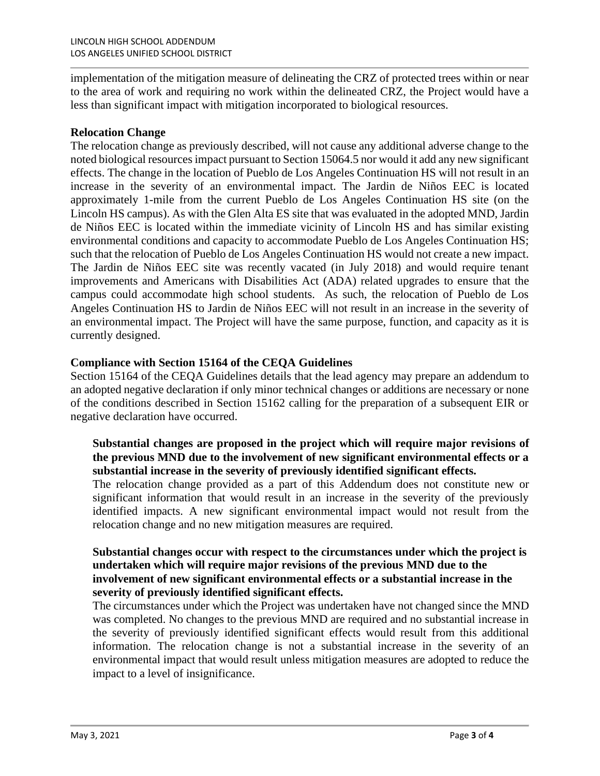implementation of the mitigation measure of delineating the CRZ of protected trees within or near to the area of work and requiring no work within the delineated CRZ, the Project would have a less than significant impact with mitigation incorporated to biological resources.

#### **Relocation Change**

The relocation change as previously described, will not cause any additional adverse change to the noted biological resources impact pursuant to Section 15064.5 nor would it add any new significant effects. The change in the location of Pueblo de Los Angeles Continuation HS will not result in an increase in the severity of an environmental impact. The Jardin de Niños EEC is located approximately 1-mile from the current Pueblo de Los Angeles Continuation HS site (on the Lincoln HS campus). As with the Glen Alta ES site that was evaluated in the adopted MND, Jardin de Niños EEC is located within the immediate vicinity of Lincoln HS and has similar existing environmental conditions and capacity to accommodate Pueblo de Los Angeles Continuation HS; such that the relocation of Pueblo de Los Angeles Continuation HS would not create a new impact. The Jardin de Niños EEC site was recently vacated (in July 2018) and would require tenant improvements and Americans with Disabilities Act (ADA) related upgrades to ensure that the campus could accommodate high school students. As such, the relocation of Pueblo de Los Angeles Continuation HS to Jardin de Niños EEC will not result in an increase in the severity of an environmental impact. The Project will have the same purpose, function, and capacity as it is currently designed.

#### **Compliance with Section 15164 of the CEQA Guidelines**

Section 15164 of the CEQA Guidelines details that the lead agency may prepare an addendum to an adopted negative declaration if only minor technical changes or additions are necessary or none of the conditions described in Section 15162 calling for the preparation of a subsequent EIR or negative declaration have occurred.

## **Substantial changes are proposed in the project which will require major revisions of the previous MND due to the involvement of new significant environmental effects or a substantial increase in the severity of previously identified significant effects.**

The relocation change provided as a part of this Addendum does not constitute new or significant information that would result in an increase in the severity of the previously identified impacts. A new significant environmental impact would not result from the relocation change and no new mitigation measures are required.

#### **Substantial changes occur with respect to the circumstances under which the project is undertaken which will require major revisions of the previous MND due to the involvement of new significant environmental effects or a substantial increase in the severity of previously identified significant effects.**

The circumstances under which the Project was undertaken have not changed since the MND was completed. No changes to the previous MND are required and no substantial increase in the severity of previously identified significant effects would result from this additional information. The relocation change is not a substantial increase in the severity of an environmental impact that would result unless mitigation measures are adopted to reduce the impact to a level of insignificance.